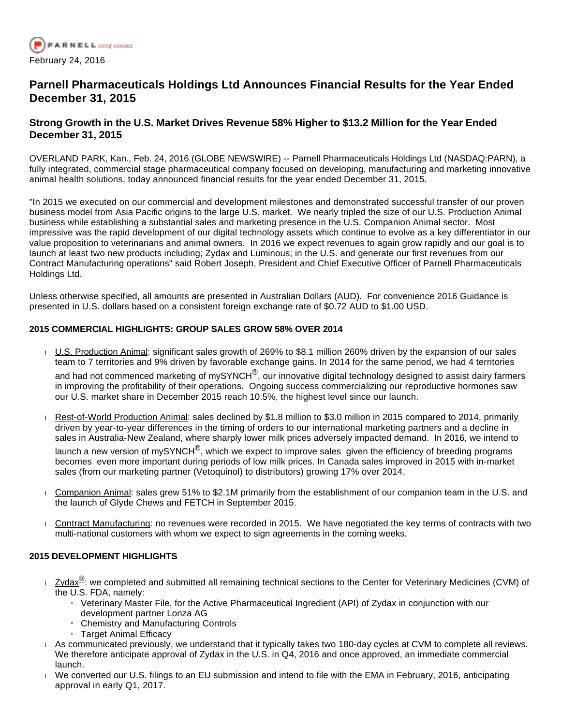

# **Parnell Pharmaceuticals Holdings Ltd Announces Financial Results for the Year Ended December 31, 2015**

# **Strong Growth in the U.S. Market Drives Revenue 58% Higher to \$13.2 Million for the Year Ended December 31, 2015**

OVERLAND PARK, Kan., Feb. 24, 2016 (GLOBE NEWSWIRE) -- Parnell Pharmaceuticals Holdings Ltd (NASDAQ:PARN), a fully integrated, commercial stage pharmaceutical company focused on developing, manufacturing and marketing innovative animal health solutions, today announced financial results for the year ended December 31, 2015.

"In 2015 we executed on our commercial and development milestones and demonstrated successful transfer of our proven business model from Asia Pacific origins to the large U.S. market. We nearly tripled the size of our U.S. Production Animal business while establishing a substantial sales and marketing presence in the U.S. Companion Animal sector. Most impressive was the rapid development of our digital technology assets which continue to evolve as a key differentiator in our value proposition to veterinarians and animal owners. In 2016 we expect revenues to again grow rapidly and our goal is to launch at least two new products including; Zydax and Luminous; in the U.S. and generate our first revenues from our Contract Manufacturing operations" said Robert Joseph, President and Chief Executive Officer of Parnell Pharmaceuticals Holdings Ltd.

Unless otherwise specified, all amounts are presented in Australian Dollars (AUD). For convenience 2016 Guidance is presented in U.S. dollars based on a consistent foreign exchange rate of \$0.72 AUD to \$1.00 USD.

# **2015 COMMERCIAL HIGHLIGHTS: GROUP SALES GROW 58% OVER 2014**

- U.S. Production Animal: significant sales growth of 269% to \$8.1 million 260% driven by the expansion of our sales team to 7 territories and 9% driven by favorable exchange gains. In 2014 for the same period, we had 4 territories and had not commenced marketing of mySYNCH $^@$ , our innovative digital technology designed to assist dairy farmers in improving the profitability of their operations. Ongoing success commercializing our reproductive hormones saw our U.S. market share in December 2015 reach 10.5%, the highest level since our launch.
- Rest-of-World Production Animal: sales declined by \$1.8 million to \$3.0 million in 2015 compared to 2014, primarily driven by year-to-year differences in the timing of orders to our international marketing partners and a decline in sales in Australia-New Zealand, where sharply lower milk prices adversely impacted demand. In 2016, we intend to

launch a new version of mySYNCH<sup>®</sup>, which we expect to improve sales given the efficiency of breeding programs becomes even more important during periods of low milk prices. In Canada sales improved in 2015 with in-market sales (from our marketing partner (Vetoquinol) to distributors) growing 17% over 2014.

- Companion Animal: sales grew 51% to \$2.1M primarily from the establishment of our companion team in the U.S. and the launch of Glyde Chews and FETCH in September 2015.
- Contract Manufacturing: no revenues were recorded in 2015. We have negotiated the key terms of contracts with two multi-national customers with whom we expect to sign agreements in the coming weeks.

### **2015 DEVELOPMENT HIGHLIGHTS**

- $\frac{1}{2}$  Zydax $^{\circledR}$ : we completed and submitted all remaining technical sections to the Center for Veterinary Medicines (CVM) of the U.S. FDA, namely:
	- » Veterinary Master File, for the Active Pharmaceutical Ingredient (API) of Zydax in conjunction with our development partner Lonza AG
	- » Chemistry and Manufacturing Controls
	- » Target Animal Efficacy
- As communicated previously, we understand that it typically takes two 180-day cycles at CVM to complete all reviews. We therefore anticipate approval of Zydax in the U.S. in Q4, 2016 and once approved, an immediate commercial launch.
- We converted our U.S. filings to an EU submission and intend to file with the EMA in February, 2016, anticipating approval in early Q1, 2017.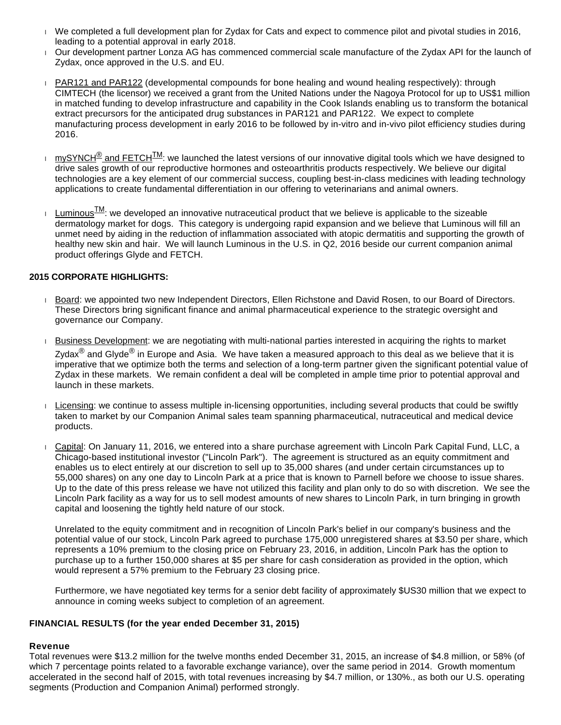- We completed a full development plan for Zydax for Cats and expect to commence pilot and pivotal studies in 2016, leading to a potential approval in early 2018.
- Our development partner Lonza AG has commenced commercial scale manufacture of the Zydax API for the launch of Zydax, once approved in the U.S. and EU.
- PAR121 and PAR122 (developmental compounds for bone healing and wound healing respectively): through CIMTECH (the licensor) we received a grant from the United Nations under the Nagoya Protocol for up to US\$1 million in matched funding to develop infrastructure and capability in the Cook Islands enabling us to transform the botanical extract precursors for the anticipated drug substances in PAR121 and PAR122. We expect to complete manufacturing process development in early 2016 to be followed by in-vitro and in-vivo pilot efficiency studies during 2016.
- $\frac{1}{10}$  mySYNCH<sup>®</sup> and FETCH<sup>TM</sup>: we launched the latest versions of our innovative digital tools which we have designed to drive sales growth of our reproductive hormones and osteoarthritis products respectively. We believe our digital technologies are a key element of our commercial success, coupling best-in-class medicines with leading technology applications to create fundamental differentiation in our offering to veterinarians and animal owners.
- Luminous $\frac{\text{LM}}{\text{M}}$ : we developed an innovative nutraceutical product that we believe is applicable to the sizeable dermatology market for dogs. This category is undergoing rapid expansion and we believe that Luminous will fill an unmet need by aiding in the reduction of inflammation associated with atopic dermatitis and supporting the growth of healthy new skin and hair. We will launch Luminous in the U.S. in Q2, 2016 beside our current companion animal product offerings Glyde and FETCH.

# **2015 CORPORATE HIGHLIGHTS:**

- Board: we appointed two new Independent Directors, Ellen Richstone and David Rosen, to our Board of Directors. These Directors bring significant finance and animal pharmaceutical experience to the strategic oversight and governance our Company.
- Business Development: we are negotiating with multi-national parties interested in acquiring the rights to market Zydax<sup>®</sup> and Glyde<sup>®</sup> in Europe and Asia. We have taken a measured approach to this deal as we believe that it is imperative that we optimize both the terms and selection of a long-term partner given the significant potential value of Zydax in these markets. We remain confident a deal will be completed in ample time prior to potential approval and launch in these markets.
- Licensing: we continue to assess multiple in-licensing opportunities, including several products that could be swiftly taken to market by our Companion Animal sales team spanning pharmaceutical, nutraceutical and medical device products.
- Capital: On January 11, 2016, we entered into a share purchase agreement with Lincoln Park Capital Fund, LLC, a Chicago-based institutional investor ("Lincoln Park"). The agreement is structured as an equity commitment and enables us to elect entirely at our discretion to sell up to 35,000 shares (and under certain circumstances up to 55,000 shares) on any one day to Lincoln Park at a price that is known to Parnell before we choose to issue shares. Up to the date of this press release we have not utilized this facility and plan only to do so with discretion. We see the Lincoln Park facility as a way for us to sell modest amounts of new shares to Lincoln Park, in turn bringing in growth capital and loosening the tightly held nature of our stock.

Unrelated to the equity commitment and in recognition of Lincoln Park's belief in our company's business and the potential value of our stock, Lincoln Park agreed to purchase 175,000 unregistered shares at \$3.50 per share, which represents a 10% premium to the closing price on February 23, 2016, in addition, Lincoln Park has the option to purchase up to a further 150,000 shares at \$5 per share for cash consideration as provided in the option, which would represent a 57% premium to the February 23 closing price.

Furthermore, we have negotiated key terms for a senior debt facility of approximately \$US30 million that we expect to announce in coming weeks subject to completion of an agreement.

### **FINANCIAL RESULTS (for the year ended December 31, 2015)**

### **Revenue**

Total revenues were \$13.2 million for the twelve months ended December 31, 2015, an increase of \$4.8 million, or 58% (of which 7 percentage points related to a favorable exchange variance), over the same period in 2014. Growth momentum accelerated in the second half of 2015, with total revenues increasing by \$4.7 million, or 130%., as both our U.S. operating segments (Production and Companion Animal) performed strongly.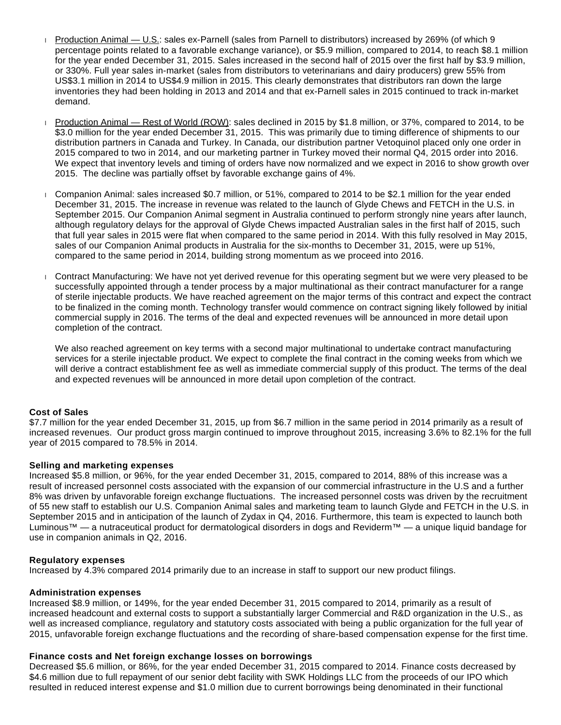- Production Animal U.S.: sales ex-Parnell (sales from Parnell to distributors) increased by 269% (of which 9 percentage points related to a favorable exchange variance), or \$5.9 million, compared to 2014, to reach \$8.1 million for the year ended December 31, 2015. Sales increased in the second half of 2015 over the first half by \$3.9 million, or 330%. Full year sales in-market (sales from distributors to veterinarians and dairy producers) grew 55% from US\$3.1 million in 2014 to US\$4.9 million in 2015. This clearly demonstrates that distributors ran down the large inventories they had been holding in 2013 and 2014 and that ex-Parnell sales in 2015 continued to track in-market demand.
- Production Animal Rest of World (ROW): sales declined in 2015 by \$1.8 million, or 37%, compared to 2014, to be \$3.0 million for the year ended December 31, 2015. This was primarily due to timing difference of shipments to our distribution partners in Canada and Turkey. In Canada, our distribution partner Vetoquinol placed only one order in 2015 compared to two in 2014, and our marketing partner in Turkey moved their normal Q4, 2015 order into 2016. We expect that inventory levels and timing of orders have now normalized and we expect in 2016 to show growth over 2015. The decline was partially offset by favorable exchange gains of 4%.
- Companion Animal: sales increased \$0.7 million, or 51%, compared to 2014 to be \$2.1 million for the year ended December 31, 2015. The increase in revenue was related to the launch of Glyde Chews and FETCH in the U.S. in September 2015. Our Companion Animal segment in Australia continued to perform strongly nine years after launch, although regulatory delays for the approval of Glyde Chews impacted Australian sales in the first half of 2015, such that full year sales in 2015 were flat when compared to the same period in 2014. With this fully resolved in May 2015, sales of our Companion Animal products in Australia for the six-months to December 31, 2015, were up 51%, compared to the same period in 2014, building strong momentum as we proceed into 2016.
- Contract Manufacturing: We have not yet derived revenue for this operating segment but we were very pleased to be successfully appointed through a tender process by a major multinational as their contract manufacturer for a range of sterile injectable products. We have reached agreement on the major terms of this contract and expect the contract to be finalized in the coming month. Technology transfer would commence on contract signing likely followed by initial commercial supply in 2016. The terms of the deal and expected revenues will be announced in more detail upon completion of the contract.

We also reached agreement on key terms with a second major multinational to undertake contract manufacturing services for a sterile injectable product. We expect to complete the final contract in the coming weeks from which we will derive a contract establishment fee as well as immediate commercial supply of this product. The terms of the deal and expected revenues will be announced in more detail upon completion of the contract.

# **Cost of Sales**

\$7.7 million for the year ended December 31, 2015, up from \$6.7 million in the same period in 2014 primarily as a result of increased revenues. Our product gross margin continued to improve throughout 2015, increasing 3.6% to 82.1% for the full year of 2015 compared to 78.5% in 2014.

#### **Selling and marketing expenses**

Increased \$5.8 million, or 96%, for the year ended December 31, 2015, compared to 2014, 88% of this increase was a result of increased personnel costs associated with the expansion of our commercial infrastructure in the U.S and a further 8% was driven by unfavorable foreign exchange fluctuations. The increased personnel costs was driven by the recruitment of 55 new staff to establish our U.S. Companion Animal sales and marketing team to launch Glyde and FETCH in the U.S. in September 2015 and in anticipation of the launch of Zydax in Q4, 2016. Furthermore, this team is expected to launch both Luminous™ — a nutraceutical product for dermatological disorders in dogs and Reviderm™ — a unique liquid bandage for use in companion animals in Q2, 2016.

#### **Regulatory expenses**

Increased by 4.3% compared 2014 primarily due to an increase in staff to support our new product filings.

#### **Administration expenses**

Increased \$8.9 million, or 149%, for the year ended December 31, 2015 compared to 2014, primarily as a result of increased headcount and external costs to support a substantially larger Commercial and R&D organization in the U.S., as well as increased compliance, regulatory and statutory costs associated with being a public organization for the full year of 2015, unfavorable foreign exchange fluctuations and the recording of share-based compensation expense for the first time.

### **Finance costs and Net foreign exchange losses on borrowings**

Decreased \$5.6 million, or 86%, for the year ended December 31, 2015 compared to 2014. Finance costs decreased by \$4.6 million due to full repayment of our senior debt facility with SWK Holdings LLC from the proceeds of our IPO which resulted in reduced interest expense and \$1.0 million due to current borrowings being denominated in their functional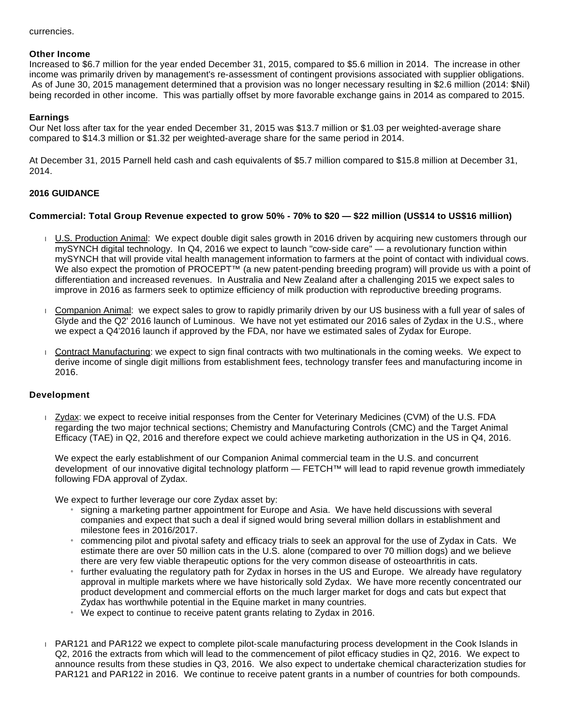#### currencies.

#### **Other Income**

Increased to \$6.7 million for the year ended December 31, 2015, compared to \$5.6 million in 2014. The increase in other income was primarily driven by management's re-assessment of contingent provisions associated with supplier obligations. As of June 30, 2015 management determined that a provision was no longer necessary resulting in \$2.6 million (2014: \$Nil) being recorded in other income. This was partially offset by more favorable exchange gains in 2014 as compared to 2015.

#### **Earnings**

Our Net loss after tax for the year ended December 31, 2015 was \$13.7 million or \$1.03 per weighted-average share compared to \$14.3 million or \$1.32 per weighted-average share for the same period in 2014.

At December 31, 2015 Parnell held cash and cash equivalents of \$5.7 million compared to \$15.8 million at December 31, 2014.

#### **2016 GUIDANCE**

#### **Commercial: Total Group Revenue expected to grow 50% - 70% to \$20 — \$22 million (US\$14 to US\$16 million)**

- U.S. Production Animal: We expect double digit sales growth in 2016 driven by acquiring new customers through our mySYNCH digital technology. In Q4, 2016 we expect to launch "cow-side care" — a revolutionary function within mySYNCH that will provide vital health management information to farmers at the point of contact with individual cows. We also expect the promotion of PROCEPT<sup>™</sup> (a new patent-pending breeding program) will provide us with a point of differentiation and increased revenues. In Australia and New Zealand after a challenging 2015 we expect sales to improve in 2016 as farmers seek to optimize efficiency of milk production with reproductive breeding programs.
- Companion Animal: we expect sales to grow to rapidly primarily driven by our US business with a full year of sales of Glyde and the Q2' 2016 launch of Luminous. We have not yet estimated our 2016 sales of Zydax in the U.S., where we expect a Q4'2016 launch if approved by the FDA, nor have we estimated sales of Zydax for Europe.
- Contract Manufacturing: we expect to sign final contracts with two multinationals in the coming weeks. We expect to derive income of single digit millions from establishment fees, technology transfer fees and manufacturing income in 2016.

#### **Development**

Zydax: we expect to receive initial responses from the Center for Veterinary Medicines (CVM) of the U.S. FDA regarding the two major technical sections; Chemistry and Manufacturing Controls (CMC) and the Target Animal Efficacy (TAE) in Q2, 2016 and therefore expect we could achieve marketing authorization in the US in Q4, 2016.

We expect the early establishment of our Companion Animal commercial team in the U.S. and concurrent development of our innovative digital technology platform — FETCH™ will lead to rapid revenue growth immediately following FDA approval of Zydax.

We expect to further leverage our core Zydax asset by:

- » signing a marketing partner appointment for Europe and Asia. We have held discussions with several companies and expect that such a deal if signed would bring several million dollars in establishment and milestone fees in 2016/2017.
- » commencing pilot and pivotal safety and efficacy trials to seek an approval for the use of Zydax in Cats. We estimate there are over 50 million cats in the U.S. alone (compared to over 70 million dogs) and we believe there are very few viable therapeutic options for the very common disease of osteoarthritis in cats.
- » further evaluating the regulatory path for Zydax in horses in the US and Europe. We already have regulatory approval in multiple markets where we have historically sold Zydax. We have more recently concentrated our product development and commercial efforts on the much larger market for dogs and cats but expect that Zydax has worthwhile potential in the Equine market in many countries.
- $\mu$  We expect to continue to receive patent grants relating to Zydax in 2016.
- PAR121 and PAR122 we expect to complete pilot-scale manufacturing process development in the Cook Islands in Q2, 2016 the extracts from which will lead to the commencement of pilot efficacy studies in Q2, 2016. We expect to announce results from these studies in Q3, 2016. We also expect to undertake chemical characterization studies for PAR121 and PAR122 in 2016. We continue to receive patent grants in a number of countries for both compounds.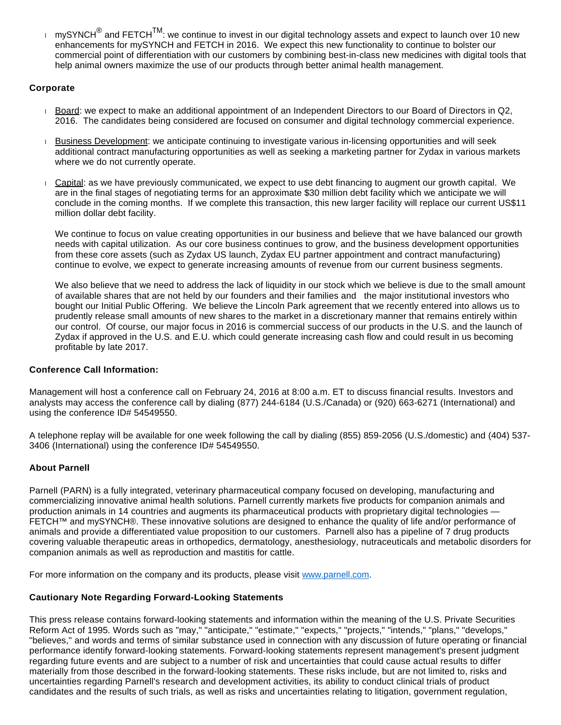$\pm$  mySYNCH $^\circ$  and FETCH $^{\textsf{TM}}$ : we continue to invest in our digital technology assets and expect to launch over 10 new enhancements for mySYNCH and FETCH in 2016. We expect this new functionality to continue to bolster our commercial point of differentiation with our customers by combining best-in-class new medicines with digital tools that help animal owners maximize the use of our products through better animal health management.

# **Corporate**

- Board: we expect to make an additional appointment of an Independent Directors to our Board of Directors in Q2, 2016. The candidates being considered are focused on consumer and digital technology commercial experience.
- Business Development: we anticipate continuing to investigate various in-licensing opportunities and will seek additional contract manufacturing opportunities as well as seeking a marketing partner for Zydax in various markets where we do not currently operate.
- Capital: as we have previously communicated, we expect to use debt financing to augment our growth capital. We are in the final stages of negotiating terms for an approximate \$30 million debt facility which we anticipate we will conclude in the coming months. If we complete this transaction, this new larger facility will replace our current US\$11 million dollar debt facility.

We continue to focus on value creating opportunities in our business and believe that we have balanced our growth needs with capital utilization. As our core business continues to grow, and the business development opportunities from these core assets (such as Zydax US launch, Zydax EU partner appointment and contract manufacturing) continue to evolve, we expect to generate increasing amounts of revenue from our current business segments.

We also believe that we need to address the lack of liquidity in our stock which we believe is due to the small amount of available shares that are not held by our founders and their families and the major institutional investors who bought our Initial Public Offering. We believe the Lincoln Park agreement that we recently entered into allows us to prudently release small amounts of new shares to the market in a discretionary manner that remains entirely within our control. Of course, our major focus in 2016 is commercial success of our products in the U.S. and the launch of Zydax if approved in the U.S. and E.U. which could generate increasing cash flow and could result in us becoming profitable by late 2017.

# **Conference Call Information:**

Management will host a conference call on February 24, 2016 at 8:00 a.m. ET to discuss financial results. Investors and analysts may access the conference call by dialing (877) 244-6184 (U.S./Canada) or (920) 663-6271 (International) and using the conference ID# 54549550.

A telephone replay will be available for one week following the call by dialing (855) 859-2056 (U.S./domestic) and (404) 537- 3406 (International) using the conference ID# 54549550.

# **About Parnell**

Parnell (PARN) is a fully integrated, veterinary pharmaceutical company focused on developing, manufacturing and commercializing innovative animal health solutions. Parnell currently markets five products for companion animals and production animals in 14 countries and augments its pharmaceutical products with proprietary digital technologies — FETCH™ and mySYNCH®. These innovative solutions are designed to enhance the quality of life and/or performance of animals and provide a differentiated value proposition to our customers. Parnell also has a pipeline of 7 drug products covering valuable therapeutic areas in orthopedics, dermatology, anesthesiology, nutraceuticals and metabolic disorders for companion animals as well as reproduction and mastitis for cattle.

For more information on the company and its products, please visit [www.parnell.com.](http://www.globenewswire.com/Tracker?data=cHO19uhsKC4Y_xTQ06h7RLEj2cVb9AHQCkbuvuJjjayR9_MJIaCtHN4Xzd7bHpDXs7EER3f9W3BIUjTNsEWyo-4FXbKkONNaz68tuNkQRPMk-dS3XPTMUy3tZ04r2XBDo_FupcwuDVSx3XkGVsjsZP1ixBeJTdumUH2TmxG6JvKjPq2BF78JZ7S0Wauzcg4xEqfva8NXWnLCTX5ZMZd5aA==)

# **Cautionary Note Regarding Forward-Looking Statements**

This press release contains forward-looking statements and information within the meaning of the U.S. Private Securities Reform Act of 1995. Words such as "may," "anticipate," "estimate," "expects," "projects," "intends," "plans," "develops," "believes," and words and terms of similar substance used in connection with any discussion of future operating or financial performance identify forward-looking statements. Forward-looking statements represent management's present judgment regarding future events and are subject to a number of risk and uncertainties that could cause actual results to differ materially from those described in the forward-looking statements. These risks include, but are not limited to, risks and uncertainties regarding Parnell's research and development activities, its ability to conduct clinical trials of product candidates and the results of such trials, as well as risks and uncertainties relating to litigation, government regulation,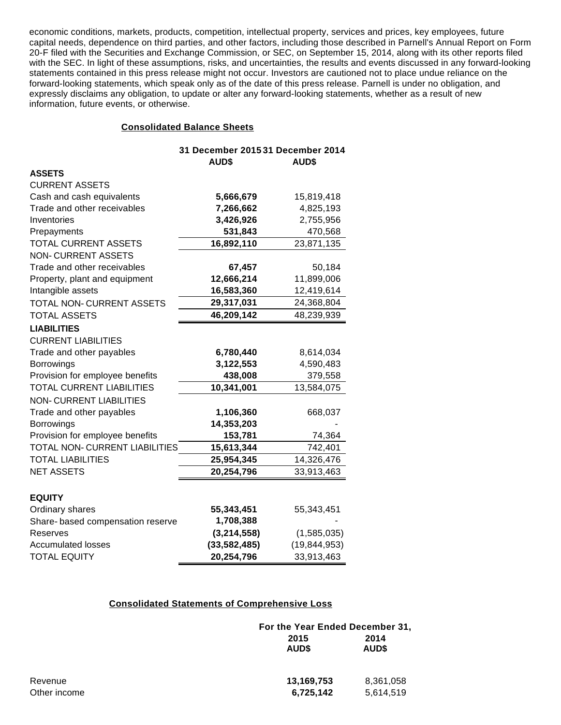economic conditions, markets, products, competition, intellectual property, services and prices, key employees, future capital needs, dependence on third parties, and other factors, including those described in Parnell's Annual Report on Form 20-F filed with the Securities and Exchange Commission, or SEC, on September 15, 2014, along with its other reports filed with the SEC. In light of these assumptions, risks, and uncertainties, the results and events discussed in any forward-looking statements contained in this press release might not occur. Investors are cautioned not to place undue reliance on the forward-looking statements, which speak only as of the date of this press release. Parnell is under no obligation, and expressly disclaims any obligation, to update or alter any forward-looking statements, whether as a result of new information, future events, or otherwise.

# **Consolidated Balance Sheets**

|                                  | 31 December 2015 31 December 2014<br><b>AUD\$</b> | <b>AUD\$</b>   |
|----------------------------------|---------------------------------------------------|----------------|
| <b>ASSETS</b>                    |                                                   |                |
| <b>CURRENT ASSETS</b>            |                                                   |                |
| Cash and cash equivalents        | 5,666,679                                         | 15,819,418     |
| Trade and other receivables      | 7,266,662                                         | 4,825,193      |
| Inventories                      | 3,426,926                                         | 2,755,956      |
| Prepayments                      | 531,843                                           | 470,568        |
| TOTAL CURRENT ASSETS             | 16,892,110                                        | 23,871,135     |
| <b>NON-CURRENT ASSETS</b>        |                                                   |                |
| Trade and other receivables      | 67,457                                            | 50,184         |
| Property, plant and equipment    | 12,666,214                                        | 11,899,006     |
| Intangible assets                | 16,583,360                                        | 12,419,614     |
| TOTAL NON-CURRENT ASSETS         | 29,317,031                                        | 24,368,804     |
| <b>TOTAL ASSETS</b>              | 46,209,142                                        | 48,239,939     |
| <b>LIABILITIES</b>               |                                                   |                |
| <b>CURRENT LIABILITIES</b>       |                                                   |                |
| Trade and other payables         | 6,780,440                                         | 8,614,034      |
| <b>Borrowings</b>                | 3,122,553                                         | 4,590,483      |
| Provision for employee benefits  | 438,008                                           | 379,558        |
| <b>TOTAL CURRENT LIABILITIES</b> | 10,341,001                                        | 13,584,075     |
| <b>NON-CURRENT LIABILITIES</b>   |                                                   |                |
| Trade and other payables         | 1,106,360                                         | 668,037        |
| <b>Borrowings</b>                | 14,353,203                                        |                |
| Provision for employee benefits  | 153,781                                           | 74,364         |
| TOTAL NON-CURRENT LIABILITIES    | 15,613,344                                        | 742,401        |
| <b>TOTAL LIABILITIES</b>         | 25,954,345                                        | 14,326,476     |
| <b>NET ASSETS</b>                | 20,254,796                                        | 33,913,463     |
|                                  |                                                   |                |
| <b>EQUITY</b>                    |                                                   |                |
| Ordinary shares                  | 55,343,451                                        | 55,343,451     |
| Share-based compensation reserve | 1,708,388                                         |                |
| Reserves                         | (3, 214, 558)                                     | (1,585,035)    |
| <b>Accumulated losses</b>        | (33, 582, 485)                                    | (19, 844, 953) |
| <b>TOTAL EQUITY</b>              | 20,254,796                                        | 33,913,463     |

# **Consolidated Statements of Comprehensive Loss**

|              |               | For the Year Ended December 31, |  |
|--------------|---------------|---------------------------------|--|
|              | 2015<br>AUD\$ | 2014<br>AUD\$                   |  |
| Revenue      | 13,169,753    | 8,361,058                       |  |
| Other income | 6,725,142     | 5,614,519                       |  |